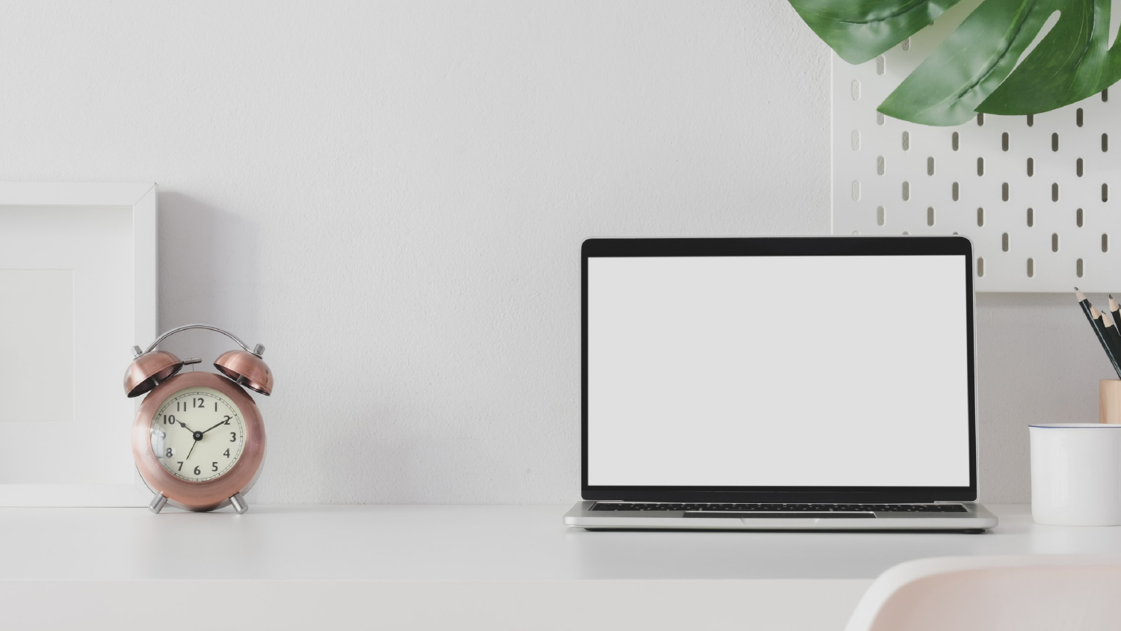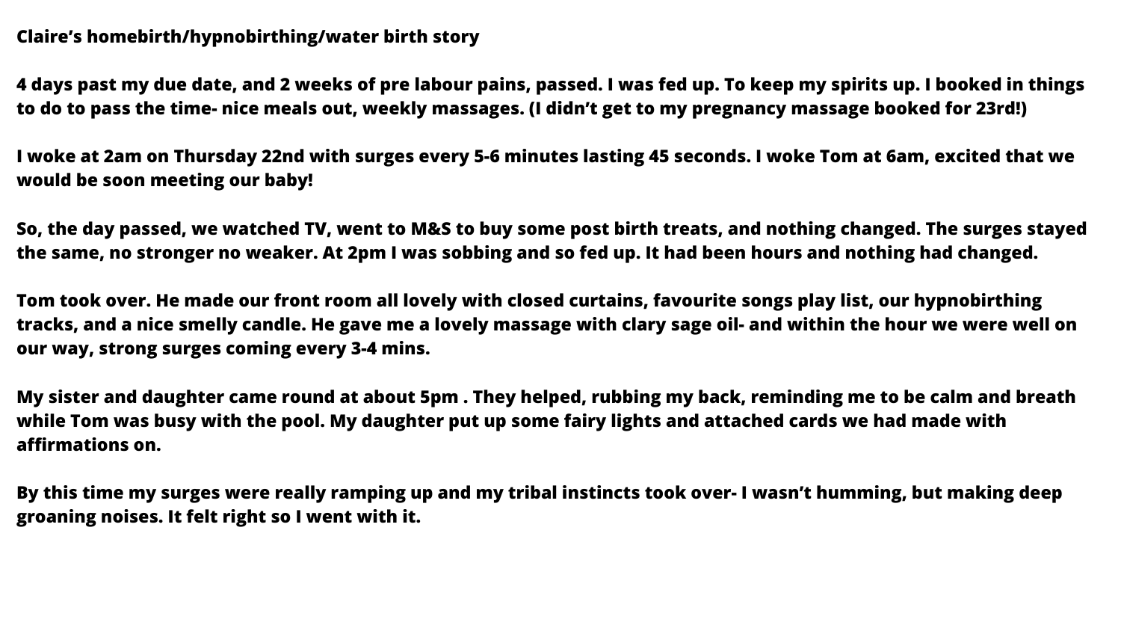## **Claire's homebirth/hypnobirthing/water birth story**

4 days past my due date, and 2 weeks of pre labour pains, passed. I was fed up. To keep my spirits up. I booked in things to do to pass the time- nice meals out, weekly massages. (I didn't get to my pregnancy massage booked for 23rd!)

I woke at 2am on Thursday 22nd with surges every 5-6 minutes lasting 45 seconds. I woke Tom at 6am, excited that we **would be soon meeting our baby!**

So, the day passed, we watched TV, went to M&S to buy some post birth treats, and nothing changed. The surges stayed the same, no stronger no weaker. At 2pm I was sobbing and so fed up. It had been hours and nothing had changed.

Tom took over. He made our front room all lovely with closed curtains, favourite songs play list, our hypnobirthing tracks, and a nice smelly candle. He gave me a lovely massage with clary sage oil- and within the hour we were well on **our way, strong surges coming every 3-4 mins.**

My sister and daughter came round at about 5pm. They helped, rubbing my back, reminding me to be calm and breath while Tom was busy with the pool. My daughter put up some fairy lights and attached cards we had made with **affirmations on.**

By this time my surges were really ramping up and my tribal instincts took over- I wasn't humming, but making deep **groaning noises. It felt right so I went with it.**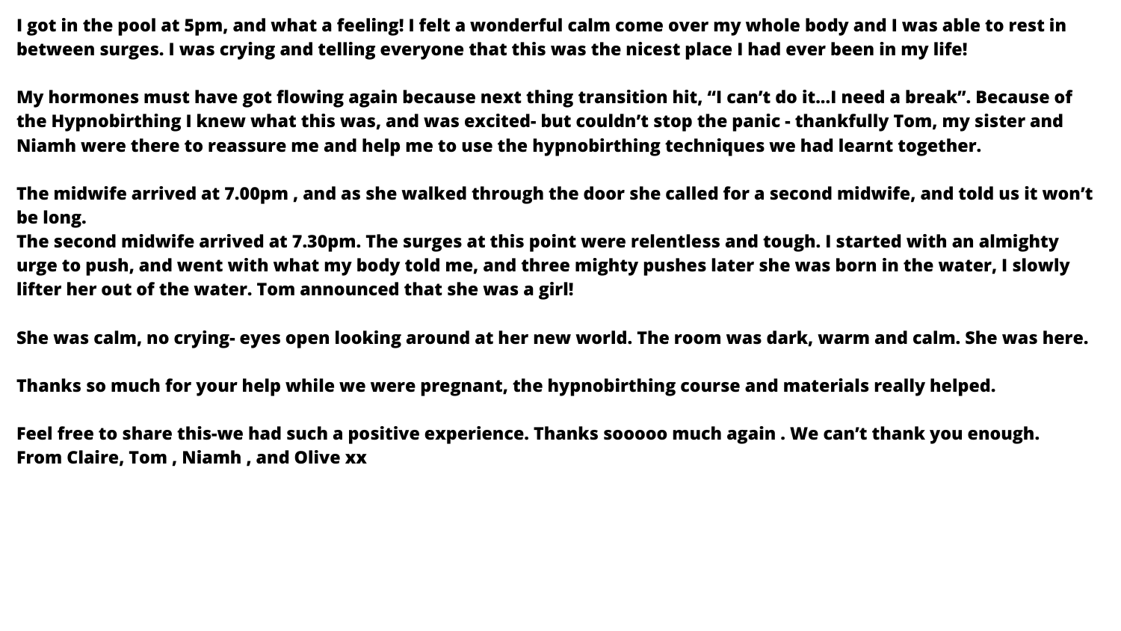I got in the pool at 5pm, and what a feeling! I felt a wonderful calm come over my whole body and I was able to rest in between surges. I was crying and telling everyone that this was the nicest place I had ever been in my life!

My hormones must have got flowing again because next thing transition hit, "I can't do it…I need a break". Because of the Hypnobirthing I knew what this was, and was excited- but couldn't stop the panic - thankfully Tom, my sister and Niamh were there to reassure me and help me to use the hypnobirthing techniques we had learnt together.

The midwife arrived at 7.00pm, and as she walked through the door she called for a second midwife, and told us it won't **be long.**

The second midwife arrived at 7.30pm. The surges at this point were relentless and tough. I started with an almighty urge to push, and went with what my body told me, and three mighty pushes later she was born in the water, I slowly **lifter her out of the water. Tom announced that she was a girl!**

She was calm, no crying- eyes open looking around at her new world. The room was dark, warm and calm. She was here.

Thanks so much for your help while we were pregnant, the hypnobirthing course and materials really helped.

Feel free to share this-we had such a positive experience. Thanks sooooo much again . We can't thank you enough. **From Claire, Tom , Niamh , and Olive xx**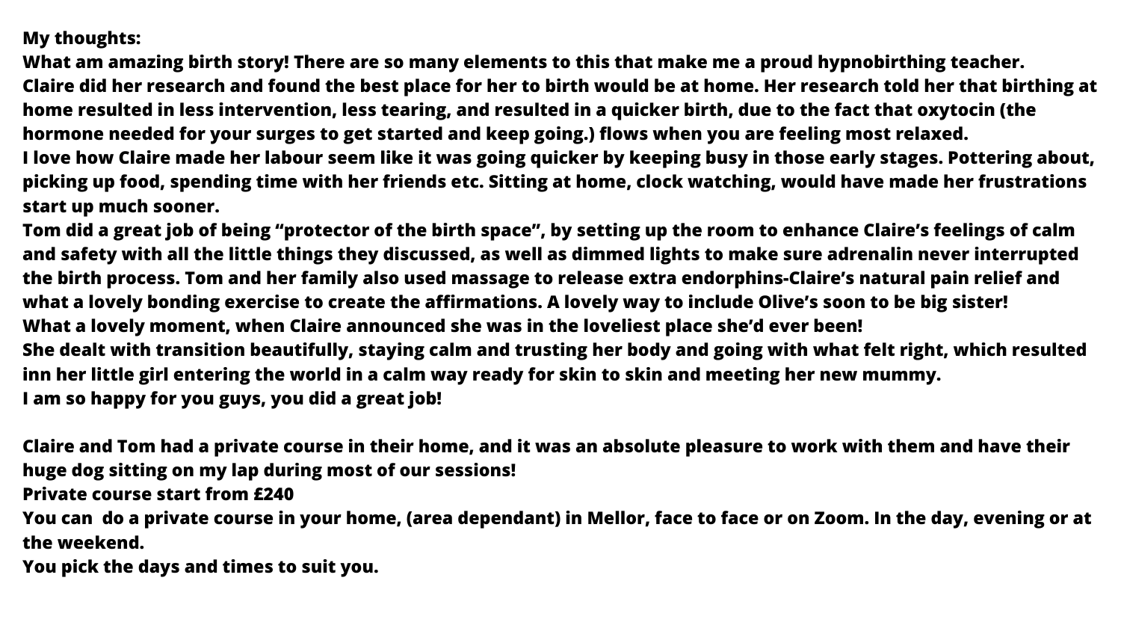**My thoughts:**

What am amazing birth story! There are so many elements to this that make me a proud hypnobirthing teacher. Claire did her research and found the best place for her to birth would be at home. Her research told her that birthing at home resulted in less intervention, less tearing, and resulted in a quicker birth, due to the fact that oxytocin (the hormone needed for your surges to get started and keep going.) flows when you are feeling most relaxed. I love how Claire made her labour seem like it was going quicker by keeping busy in those early stages. Pottering about, picking up food, spending time with her friends etc. Sitting at home, clock watching, would have made her frustrations **start up much sooner.**

Tom did a great job of being "protector of the birth space", by setting up the room to enhance Claire's feelings of calm and safety with all the little things they discussed, as well as dimmed lights to make sure adrenalin never interrupted the birth process. Tom and her family also used massage to release extra endorphins-Claire's natural pain relief and what a lovely bonding exercise to create the affirmations. A lovely way to include Olive's soon to be big sister! **What a lovely moment, when Claire announced she was in the loveliest place she'd ever been!** She dealt with transition beautifully, staying calm and trusting her body and going with what felt right, which resulted inn her little girl entering the world in a calm way ready for skin to skin and meeting her new mummy. **I am so happy for you guys, you did a great job!**

Claire and Tom had a private course in their home, and it was an absolute pleasure to work with them and have their **huge dog sitting on my lap during most of our sessions! Private course start from £240**

You can do a private course in your home, (area dependant) in Mellor, face to face or on Zoom. In the day, evening or at **the weekend.**

**You pick the days and times to suit you.**